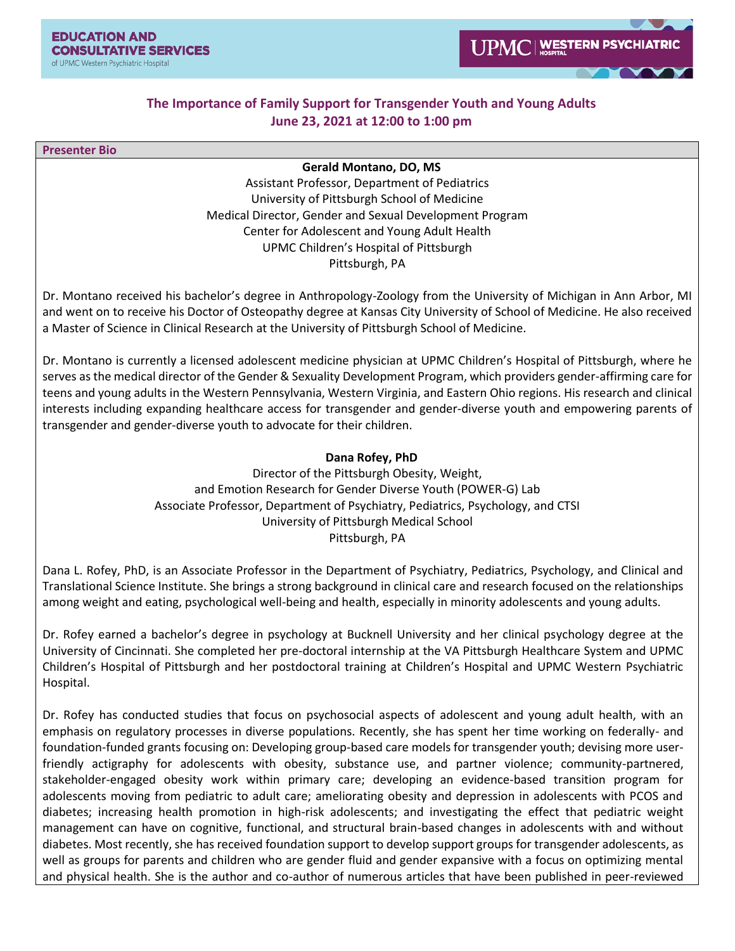## **The Importance of Family Support for Transgender Youth and Young Adults June 23, 2021 at 12:00 to 1:00 pm**

**Presenter Bio**

**Gerald Montano, DO, MS**

Assistant Professor, Department of Pediatrics University of Pittsburgh School of Medicine Medical Director, Gender and Sexual Development Program Center for Adolescent and Young Adult Health UPMC Children's Hospital of Pittsburgh Pittsburgh, PA

Dr. Montano received his bachelor's degree in Anthropology-Zoology from the University of Michigan in Ann Arbor, MI and went on to receive his Doctor of Osteopathy degree at Kansas City University of School of Medicine. He also received a Master of Science in Clinical Research at the University of Pittsburgh School of Medicine.

Dr. Montano is currently a licensed adolescent medicine physician at UPMC Children's Hospital of Pittsburgh, where he serves as the medical director of the Gender & Sexuality Development Program, which providers gender-affirming care for teens and young adults in the Western Pennsylvania, Western Virginia, and Eastern Ohio regions. His research and clinical interests including expanding healthcare access for transgender and gender-diverse youth and empowering parents of transgender and gender-diverse youth to advocate for their children.

## **Dana Rofey, PhD**

Director of the Pittsburgh Obesity, Weight, and Emotion Research for Gender Diverse Youth (POWER-G) Lab Associate Professor, Department of Psychiatry, Pediatrics, Psychology, and CTSI University of Pittsburgh Medical School Pittsburgh, PA

Dana L. Rofey, PhD, is an Associate Professor in the Department of Psychiatry, Pediatrics, Psychology, and Clinical and Translational Science Institute. She brings a strong background in clinical care and research focused on the relationships among weight and eating, psychological well-being and health, especially in minority adolescents and young adults.

Dr. Rofey earned a bachelor's degree in psychology at Bucknell University and her clinical psychology degree at the University of Cincinnati. She completed her pre-doctoral internship at the VA Pittsburgh Healthcare System and UPMC Children's Hospital of Pittsburgh and her postdoctoral training at Children's Hospital and UPMC Western Psychiatric Hospital.

Dr. Rofey has conducted studies that focus on psychosocial aspects of adolescent and young adult health, with an emphasis on regulatory processes in diverse populations. Recently, she has spent her time working on federally- and foundation-funded grants focusing on: Developing group-based care models for transgender youth; devising more userfriendly actigraphy for adolescents with obesity, substance use, and partner violence; community-partnered, stakeholder-engaged obesity work within primary care; developing an evidence-based transition program for adolescents moving from pediatric to adult care; ameliorating obesity and depression in adolescents with PCOS and diabetes; increasing health promotion in high-risk adolescents; and investigating the effect that pediatric weight management can have on cognitive, functional, and structural brain-based changes in adolescents with and without diabetes. Most recently, she has received foundation support to develop support groups for transgender adolescents, as well as groups for parents and children who are gender fluid and gender expansive with a focus on optimizing mental and physical health. She is the author and co-author of numerous articles that have been published in peer-reviewed